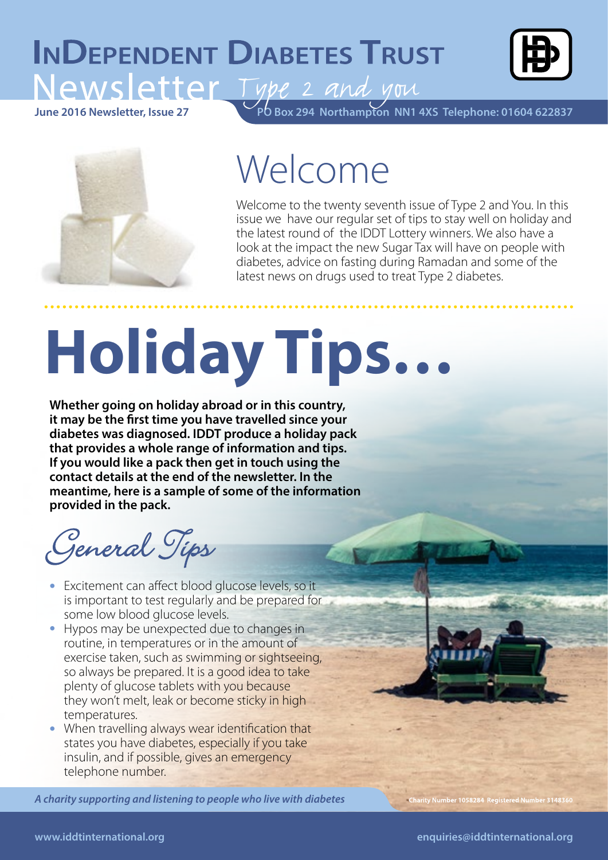### **INDEPENDENT DIABETES TRUST** Type 2 and you



**PO Box 294 Northampton NN1 4XS Telephone: 01604 622837 June 2016 Newsletter, Issue 27**



# Welcome

Welcome to the twenty seventh issue of Type 2 and You. In this issue we have our regular set of tips to stay well on holiday and the latest round of the IDDT Lottery winners. We also have a look at the impact the new Sugar Tax will have on people with diabetes, advice on fasting during Ramadan and some of the latest news on drugs used to treat Type 2 diabetes.

# **Holiday Tips…**

**Whether going on holiday abroad or in this country, it may be the first time you have travelled since your diabetes was diagnosed. IDDT produce a holiday pack that provides a whole range of information and tips. If you would like a pack then get in touch using the contact details at the end of the newsletter. In the meantime, here is a sample of some of the information provided in the pack.**

General Tips

- Excitement can affect blood glucose levels, so it is important to test regularly and be prepared for some low blood glucose levels.
- Hypos may be unexpected due to changes in routine, in temperatures or in the amount of exercise taken, such as swimming or sightseeing, so always be prepared. It is a good idea to take plenty of glucose tablets with you because they won't melt, leak or become sticky in high temperatures.
- When travelling always wear identification that states you have diabetes, especially if you take insulin, and if possible, gives an emergency telephone number.

*A charity supporting and listening to people who live with diabetes A charity supporting and listening to people who live with diabetes A charity supporting and listening to people with diabetes*

Charity Number 1058284 Registered Number 3148360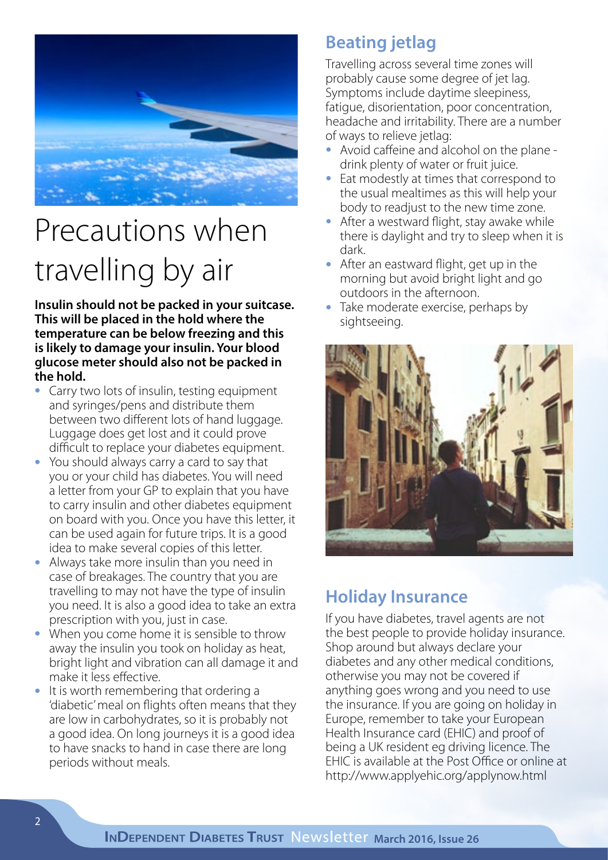

## Precautions when travelling by air

**Insulin should not be packed in your suitcase. This will be placed in the hold where the temperature can be below freezing and this is likely to damage your insulin. Your blood glucose meter should also not be packed in the hold.** 

- Carry two lots of insulin, testing equipment and syringes/pens and distribute them between two different lots of hand luggage. Luggage does get lost and it could prove difficult to replace your diabetes equipment.
- You should always carry a card to say that you or your child has diabetes. You will need a letter from your GP to explain that you have to carry insulin and other diabetes equipment on board with you. Once you have this letter, it can be used again for future trips. It is a good idea to make several copies of this letter.
- Always take more insulin than you need in case of breakages. The country that you are travelling to may not have the type of insulin you need. It is also a good idea to take an extra prescription with you, just in case.
- When you come home it is sensible to throw away the insulin you took on holiday as heat, bright light and vibration can all damage it and make it less effective.
- It is worth remembering that ordering a 'diabetic' meal on flights often means that they are low in carbohydrates, so it is probably not a good idea. On long journeys it is a good idea to have snacks to hand in case there are long periods without meals.

#### **Beating jetlag**

Travelling across several time zones will probably cause some degree of jet lag. Symptoms include daytime sleepiness, fatigue, disorientation, poor concentration, headache and irritability. There are a number of ways to relieve jetlag:

- Avoid caffeine and alcohol on the plane drink plenty of water or fruit juice.
- Eat modestly at times that correspond to the usual mealtimes as this will help your body to readjust to the new time zone.
- After a westward flight, stay awake while there is daylight and try to sleep when it is dark.
- After an eastward flight, get up in the morning but avoid bright light and go outdoors in the afternoon.
- Take moderate exercise, perhaps by sightseeing.



#### **Holiday Insurance**

If you have diabetes, travel agents are not the best people to provide holiday insurance. Shop around but always declare your diabetes and any other medical conditions, otherwise you may not be covered if anything goes wrong and you need to use the insurance. If you are going on holiday in Europe, remember to take your European Health Insurance card (EHIC) and proof of being a UK resident eg driving licence. The EHIC is available at the Post Office or online at http://www.applyehic.org/applynow.html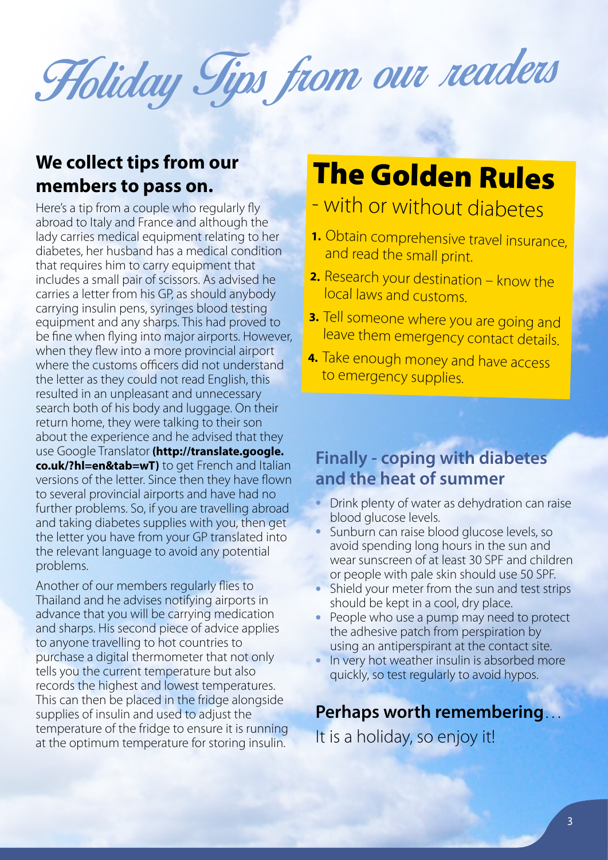# Holiday Tips from our readers

#### **We collect tips from our members to pass on.**

Here's a tip from a couple who regularly fly abroad to Italy and France and although the lady carries medical equipment relating to her diabetes, her husband has a medical condition that requires him to carry equipment that includes a small pair of scissors. As advised he carries a letter from his GP, as should anybody carrying insulin pens, syringes blood testing equipment and any sharps. This had proved to be fine when flying into major airports. However, when they flew into a more provincial airport where the customs officers did not understand the letter as they could not read English, this resulted in an unpleasant and unnecessary search both of his body and luggage. On their return home, they were talking to their son about the experience and he advised that they use Google Translator **(http://translate.google. co.uk/?hl=en&tab=wT)** to get French and Italian versions of the letter. Since then they have flown to several provincial airports and have had no further problems. So, if you are travelling abroad and taking diabetes supplies with you, then get the letter you have from your GP translated into the relevant language to avoid any potential problems.

Another of our members regularly flies to Thailand and he advises notifying airports in advance that you will be carrying medication and sharps. His second piece of advice applies to anyone travelling to hot countries to purchase a digital thermometer that not only tells you the current temperature but also records the highest and lowest temperatures. This can then be placed in the fridge alongside supplies of insulin and used to adjust the temperature of the fridge to ensure it is running at the optimum temperature for storing insulin.

### The Golden Rules

#### - with or without diabetes

- **1.** Obtain comprehensive travel insurance, and read the small print.
- **2.** Research your destination know the local laws and customs.
- **3.** Tell someone where you are going and leave them emergency contact details.
- **4.** Take enough money and have access to emergency supplies.

#### **Finally - coping with diabetes and the heat of summer**

- Drink plenty of water as dehydration can raise blood glucose levels.
- Sunburn can raise blood glucose levels, so avoid spending long hours in the sun and wear sunscreen of at least 30 SPF and children or people with pale skin should use 50 SPF.
- Shield your meter from the sun and test strips should be kept in a cool, dry place.
- People who use a pump may need to protect the adhesive patch from perspiration by using an antiperspirant at the contact site.
- In very hot weather insulin is absorbed more quickly, so test regularly to avoid hypos.

#### **Perhaps worth remembering**…

It is a holiday, so enjoy it!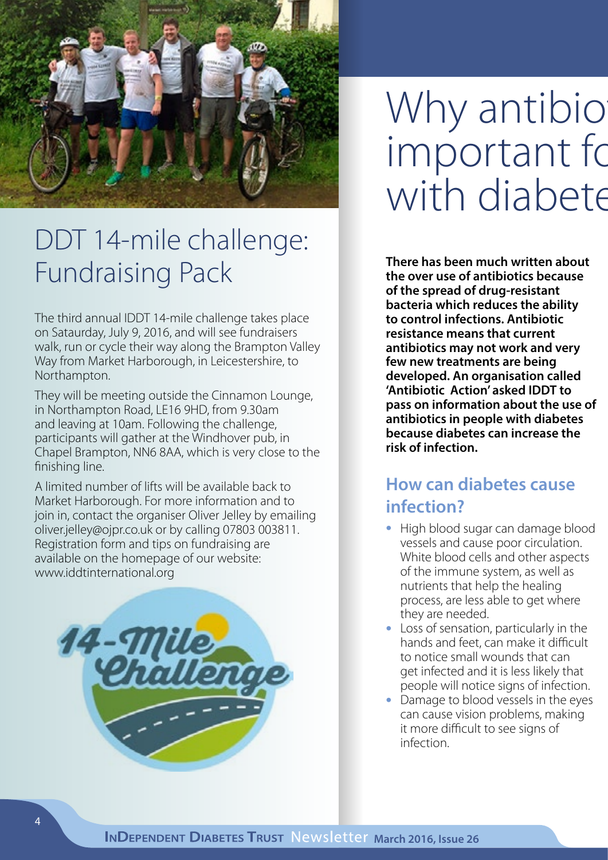

### DDT 14-mile challenge: Fundraising Pack

The third annual IDDT 14-mile challenge takes place on Sataurday, July 9, 2016, and will see fundraisers walk, run or cycle their way along the Brampton Valley Way from Market Harborough, in Leicestershire, to Northampton.

They will be meeting outside the Cinnamon Lounge, in Northampton Road, LE16 9HD, from 9.30am and leaving at 10am. Following the challenge, participants will gather at the Windhover pub, in Chapel Brampton, NN6 8AA, which is very close to the finishing line.

A limited number of lifts will be available back to Market Harborough. For more information and to join in, contact the organiser Oliver Jelley by emailing oliver.jelley@ojpr.co.uk or by calling 07803 003811. Registration form and tips on fundraising are available on the homepage of our website: www.iddtinternational.org



# Why antibio important fo with diabete

**There has been much written about the over use of antibiotics because of the spread of drug-resistant bacteria which reduces the ability to control infections. Antibiotic resistance means that current antibiotics may not work and very few new treatments are being developed. An organisation called 'Antibiotic Action' asked IDDT to pass on information about the use of antibiotics in people with diabetes because diabetes can increase the risk of infection.** 

#### **How can diabetes cause infection?**

- High blood sugar can damage blood vessels and cause poor circulation. White blood cells and other aspects of the immune system, as well as nutrients that help the healing process, are less able to get where they are needed.
- Loss of sensation, particularly in the hands and feet, can make it difficult to notice small wounds that can get infected and it is less likely that people will notice signs of infection.
- Damage to blood vessels in the eyes can cause vision problems, making it more difficult to see signs of infection.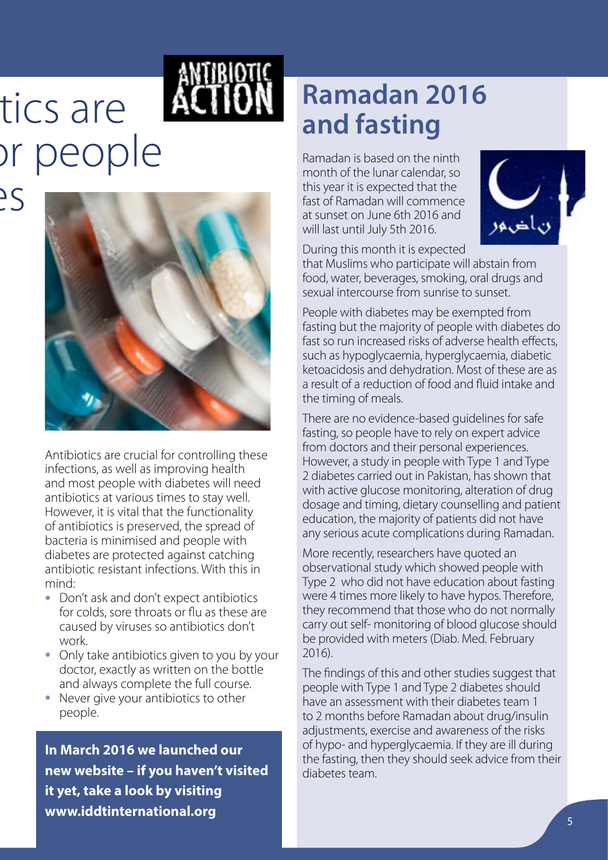# tics are or people  $\frac{25}{5}$



Antibiotics are crucial for controlling these infections, as well as improving health and most people with diabetes will need antibiotics at various times to stay well. However, it is vital that the functionality of antibiotics is preserved, the spread of bacteria is minimised and people with diabetes are protected against catching antibiotic resistant infections. With this in mind:

- Don't ask and don't expect antibiotics for colds, sore throats or flu as these are caused by viruses so antibiotics don't work.
- Only take antibiotics given to you by your doctor, exactly as written on the bottle and always complete the full course.
- Never give your antibiotics to other people.

**In March 2016 we launched our new website – if you haven't visited it yet, take a look by visiting www.iddtinternational.org** 

### **Ramadan 2016 and fasting**

Ramadan is based on the ninth month of the lunar calendar, so this year it is expected that the fast of Ramadan will commence at sunset on June 6th 2016 and will last until July 5th 2016.



During this month it is expected

that Muslims who participate will abstain from food, water, beverages, smoking, oral drugs and sexual intercourse from sunrise to sunset.

People with diabetes may be exempted from fasting but the majority of people with diabetes do fast so run increased risks of adverse health effects, such as hypoglycaemia, hyperglycaemia, diabetic ketoacidosis and dehydration. Most of these are as a result of a reduction of food and fluid intake and the timing of meals.

There are no evidence-based guidelines for safe fasting, so people have to rely on expert advice from doctors and their personal experiences. However, a study in people with Type 1 and Type 2 diabetes carried out in Pakistan, has shown that with active glucose monitoring, alteration of drug dosage and timing, dietary counselling and patient education, the majority of patients did not have any serious acute complications during Ramadan.

More recently, researchers have quoted an observational study which showed people with Type 2 who did not have education about fasting were 4 times more likely to have hypos. Therefore, they recommend that those who do not normally carry out self- monitoring of blood glucose should be provided with meters (Diab. Med. February 2016).

The findings of this and other studies suggest that people with Type 1 and Type 2 diabetes should have an assessment with their diabetes team 1 to 2 months before Ramadan about drug/insulin adjustments, exercise and awareness of the risks of hypo- and hyperglycaemia. If they are ill during the fasting, then they should seek advice from their diabetes team.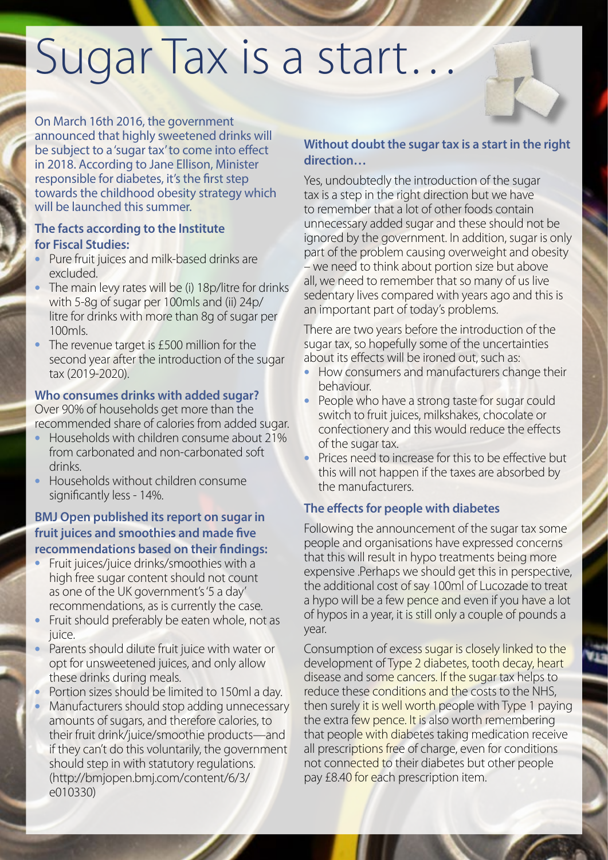# Sugar Tax is a start…

On March 16th 2016, the government announced that highly sweetened drinks will be subject to a 'sugar tax' to come into effect in 2018. According to Jane Ellison, Minister responsible for diabetes, it's the first step towards the childhood obesity strategy which will be launched this summer.

#### **The facts according to the Institute for Fiscal Studies:**

- Pure fruit juices and milk-based drinks are excluded.
- The main levy rates will be (i) 18p/litre for drinks with 5-8g of sugar per 100mls and (ii) 24p/ litre for drinks with more than 8g of sugar per 100mls.
- The revenue target is £500 million for the second year after the introduction of the sugar tax (2019-2020).

#### **Who consumes drinks with added sugar?**

Over 90% of households get more than the recommended share of calories from added sugar.

- Households with children consume about 21% from carbonated and non-carbonated soft drinks.
- Households without children consume significantly less - 14%.

#### **BMJ Open published its report on sugar in fruit juices and smoothies and made five recommendations based on their findings:**

- Fruit juices/juice drinks/smoothies with a high free sugar content should not count as one of the UK government's '5 a day' recommendations, as is currently the case.
- Fruit should preferably be eaten whole, not as juice.
- Parents should dilute fruit juice with water or opt for unsweetened juices, and only allow these drinks during meals.
- Portion sizes should be limited to 150ml a day.
- Manufacturers should stop adding unnecessary amounts of sugars, and therefore calories, to their fruit drink/juice/smoothie products—and if they can't do this voluntarily, the government should step in with statutory regulations. (http://bmjopen.bmj.com/content/6/3/ e010330)

#### **Without doubt the sugar tax is a start in the right direction…**

Yes, undoubtedly the introduction of the sugar tax is a step in the right direction but we have to remember that a lot of other foods contain unnecessary added sugar and these should not be ignored by the government. In addition, sugar is only part of the problem causing overweight and obesity – we need to think about portion size but above all, we need to remember that so many of us live sedentary lives compared with years ago and this is an important part of today's problems.

There are two years before the introduction of the sugar tax, so hopefully some of the uncertainties about its effects will be ironed out, such as:

- How consumers and manufacturers change their behaviour.
- People who have a strong taste for sugar could switch to fruit juices, milkshakes, chocolate or confectionery and this would reduce the effects of the sugar tax.
- Prices need to increase for this to be effective but this will not happen if the taxes are absorbed by the manufacturers.

#### **The effects for people with diabetes**

Following the announcement of the sugar tax some people and organisations have expressed concerns that this will result in hypo treatments being more expensive .Perhaps we should get this in perspective, the additional cost of say 100ml of Lucozade to treat a hypo will be a few pence and even if you have a lot of hypos in a year, it is still only a couple of pounds a year.

Consumption of excess sugar is closely linked to the development of Type 2 diabetes, tooth decay, heart disease and some cancers. If the sugar tax helps to reduce these conditions and the costs to the NHS, then surely it is well worth people with Type 1 paying the extra few pence. It is also worth remembering that people with diabetes taking medication receive all prescriptions free of charge, even for conditions not connected to their diabetes but other people pay £8.40 for each prescription item.

**March 2016, Issue 26**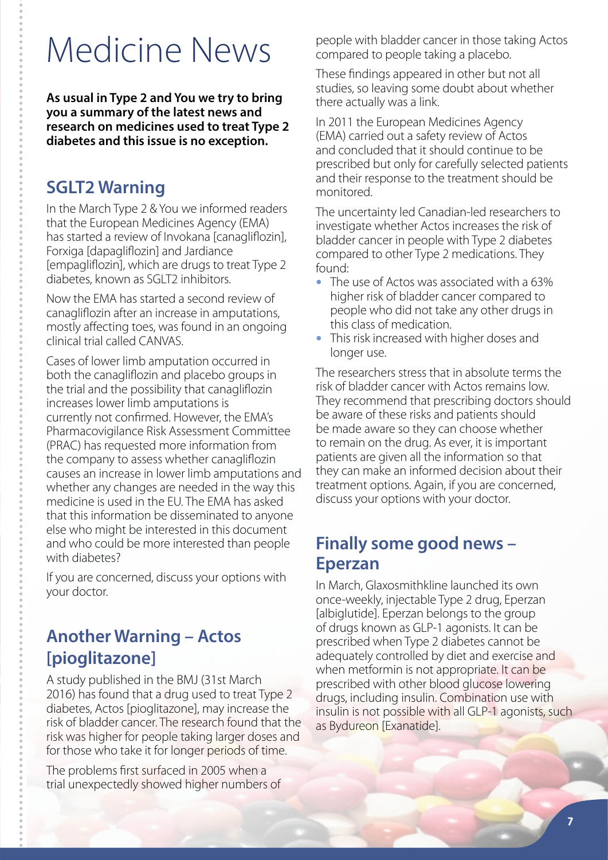# Medicine News

**As usual in Type 2 and You we try to bring you a summary of the latest news and research on medicines used to treat Type 2 diabetes and this issue is no exception.**

#### **SGLT2 Warning**

In the March Type 2 & You we informed readers that the European Medicines Agency (EMA) has started a review of Invokana [canagliflozin], Forxiga [dapagliflozin] and Jardiance [empagliflozin], which are drugs to treat Type 2 diabetes, known as SGLT2 inhibitors.

Now the EMA has started a second review of canagliflozin after an increase in amputations, mostly affecting toes, was found in an ongoing clinical trial called CANVAS.

Cases of lower limb amputation occurred in both the canagliflozin and placebo groups in the trial and the possibility that canagliflozin increases lower limb amputations is currently not confirmed. However, the EMA's Pharmacovigilance Risk Assessment Committee (PRAC) has requested more information from the company to assess whether canagliflozin causes an increase in lower limb amputations and whether any changes are needed in the way this medicine is used in the EU. The EMA has asked that this information be disseminated to anyone else who might be interested in this document and who could be more interested than people with diabetes?

If you are concerned, discuss your options with your doctor.

#### **Another Warning – Actos [pioglitazone]**

A study published in the BMJ (31st March 2016) has found that a drug used to treat Type 2 diabetes, Actos [pioglitazone], may increase the risk of bladder cancer. The research found that the risk was higher for people taking larger doses and for those who take it for longer periods of time.

The problems first surfaced in 2005 when a trial unexpectedly showed higher numbers of people with bladder cancer in those taking Actos compared to people taking a placebo.

These findings appeared in other but not all studies, so leaving some doubt about whether there actually was a link.

In 2011 the European Medicines Agency (EMA) carried out a safety review of Actos and concluded that it should continue to be prescribed but only for carefully selected patients and their response to the treatment should be monitored.

The uncertainty led Canadian-led researchers to investigate whether Actos increases the risk of bladder cancer in people with Type 2 diabetes compared to other Type 2 medications. They found:

- The use of Actos was associated with a 63% higher risk of bladder cancer compared to people who did not take any other drugs in this class of medication.
- This risk increased with higher doses and longer use.

The researchers stress that in absolute terms the risk of bladder cancer with Actos remains low. They recommend that prescribing doctors should be aware of these risks and patients should be made aware so they can choose whether to remain on the drug. As ever, it is important patients are given all the information so that they can make an informed decision about their treatment options. Again, if you are concerned, discuss your options with your doctor.

#### **Finally some good news – Eperzan**

In March, Glaxosmithkline launched its own once-weekly, injectable Type 2 drug, Eperzan [albiglutide]. Eperzan belongs to the group of drugs known as GLP-1 agonists. It can be prescribed when Type 2 diabetes cannot be adequately controlled by diet and exercise and when metformin is not appropriate. It can be prescribed with other blood glucose lowering drugs, including insulin. Combination use with insulin is not possible with all GLP-1 agonists, such as Bydureon [Exanatide].